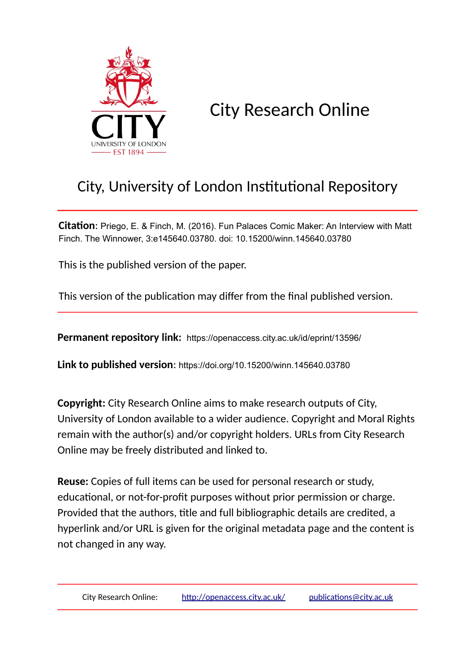

City Research Online

## City, University of London Institutional Repository

**Citation**: Priego, E. & Finch, M. (2016). Fun Palaces Comic Maker: An Interview with Matt Finch. The Winnower, 3:e145640.03780. doi: 10.15200/winn.145640.03780

This is the published version of the paper.

This version of the publication may differ from the final published version.

**Permanent repository link:** https://openaccess.city.ac.uk/id/eprint/13596/

**Link to published version**: https://doi.org/10.15200/winn.145640.03780

**Copyright:** City Research Online aims to make research outputs of City, University of London available to a wider audience. Copyright and Moral Rights remain with the author(s) and/or copyright holders. URLs from City Research Online may be freely distributed and linked to.

**Reuse:** Copies of full items can be used for personal research or study, educational, or not-for-profit purposes without prior permission or charge. Provided that the authors, title and full bibliographic details are credited, a hyperlink and/or URL is given for the original metadata page and the content is not changed in any way.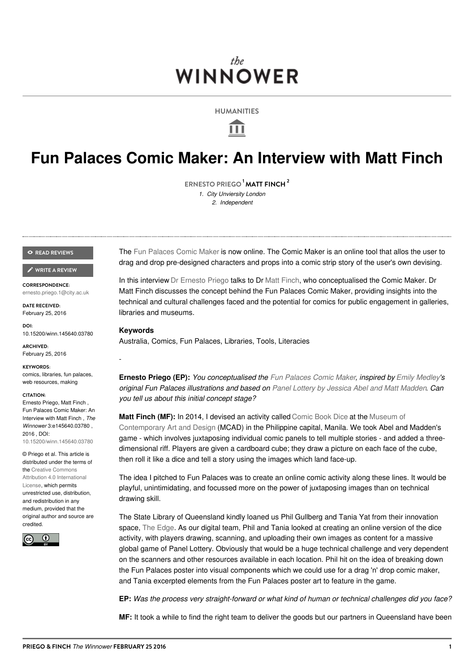### the. **WINNOWER**

**HUMANITIES**

Ш

## **Fun Palaces Comic Maker: An Interview with Matt Finch**

**[ERNESTO](/users/883) PRIEGO MATT FINCH 1 2** *1. City Unviersity London 2. Independent*

#### **READ [REVIEWS](https://thewinnower.com/papers/2745-fun-palaces-comic-maker-an-interview-with-matt-finch#submit)**

#### **WRITE A [REVIEW](https://thewinnower.com/papers/2745-fun-palaces-comic-maker-an-interview-with-matt-finch#submit)** ✎

**CORRESPONDENCE:** [ernesto.priego.1@city.ac.uk](mailto:ernesto.priego.1@city.ac.uk)

**DATE RECEIVED:** February 25, 2016

**DOI:** 10.15200/winn.145640.03780

**ARCHIVED:** February 25, 2016

**KEYWORDS:** comics, libraries, fun palaces, web resources, making

#### **CITATION:**

Ernesto Priego, Matt Finch , Fun Palaces Comic Maker: An Interview with Matt Finch , *The Winnower* 3:e145640.03780 , 2016 , DOI: [10.15200/winn.145640.03780](https://dx.doi.org/10.15200/winn.145640.03780)

© Priego et al. This article is distributed under the terms of the Creative Commons Attribution 4.0 [International](https://creativecommons.org/licenses/by/4.0/) License, which permits unrestricted use, distribution, and redistribution in any medium, provided that the original author and source are credited.



The Fun [Palaces](http://comic.funpalaces.co.uk/) Comic Maker is now online. The Comic Maker is an online tool that allos the user to drag and drop pre-designed characters and props into a comic strip story of the user's own devising.

In this interview Dr [Ernesto](http://priego.wordpress.com/) Priego talks to Dr Matt [Finch](http://matthewfinch.me/about/), who conceptualised the Comic Maker. Dr Matt Finch discusses the concept behind the Fun Palaces Comic Maker, providing insights into the technical and cultural challenges faced and the potential for comics for public engagement in galleries, libraries and museums.

#### **Keywords**

-

Australia, Comics, Fun Palaces, Libraries, Tools, Literacies

**Ernesto Priego (EP):** *You conceptualised the Fun [Palaces](http://funpalaces.co.uk/fun-palaces-comic-maker/) Comic Maker, inspired by Emily [Medley](http://emilymedley.co.uk)'s original Fun Palaces illustrations and based on Panel Lottery by Jessica Abel and Matt [Madden](http://dw-wp.com/2010/05/panel-lottery-an-exercise-in-narrative-juxtaposition-and-editing/). Can you tell us about this initial concept stage?*

**Matt Finch (MF):** In 2014, I devised an activity called [Comic](http://matthewfinch.me/2014/10/14/comic-book-dice-a-sequential-storytelling-game/) Book Dice at the Museum of [Contemporary](https://twitter.com/mcadmanila) Art and Design (MCAD) in the Philippine capital, Manila. We took Abel and Madden's game - which involves juxtaposing individual comic panels to tell multiple stories - and added a threedimensional riff. Players are given a cardboard cube; they draw a picture on each face of the cube, then roll it like a dice and tell a story using the images which land face-up.

The idea I pitched to Fun Palaces was to create an online comic activity along these lines. It would be playful, unintimidating, and focussed more on the power of juxtaposing images than on technical drawing skill.

The State Library of Queensland kindly loaned us Phil Gullberg and Tania Yat from their innovation space, The [Edge](http://edgeqld.org.au/). As our digital team, Phil and Tania looked at creating an online version of the dice activity, with players drawing, scanning, and uploading their own images as content for a massive global game of Panel Lottery. Obviously that would be a huge technical challenge and very dependent on the scanners and other resources available in each location. Phil hit on the idea of breaking down the Fun Palaces poster into visual components which we could use for a drag 'n' drop comic maker, and Tania excerpted elements from the Fun Palaces poster art to feature in the game.

**EP:** *Was the process very straight-forward or what kind of human or technical challenges did you face?*

**MF:** It took a while to find the right team to deliver the goods but our partners in Queensland have been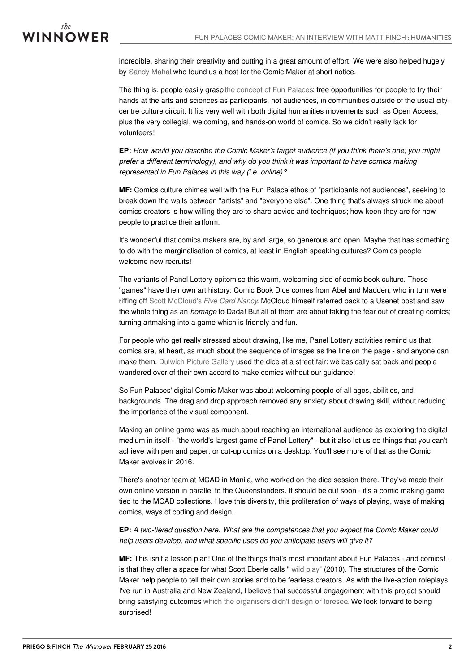

incredible, sharing their creativity and putting in a great amount of effort. We were also helped hugely by [Sandy](http://twitter.com/readwithsandy) Mahal who found us a host for the Comic Maker at short notice.

The thing is, people easily grasp the [concept](http://funpalaces.co.uk/about/) of Fun Palaces: free opportunities for people to try their hands at the arts and sciences as participants, not audiences, in communities outside of the usual citycentre culture circuit. It fits very well with both digital humanities movements such as Open Access, plus the very collegial, welcoming, and hands-on world of comics. So we didn't really lack for volunteers!

**EP:** *How would you describe the Comic Maker's target audience (if you think there's one; you might prefer a different terminology), and why do you think it was important to have comics making represented in Fun Palaces in this way (i.e. online)?*

**MF:** Comics culture chimes well with the Fun Palace ethos of "participants not audiences", seeking to break down the walls between "artists" and "everyone else". One thing that's always struck me about comics creators is how willing they are to share advice and techniques; how keen they are for new people to practice their artform.

It's wonderful that comics makers are, by and large, so generous and open. Maybe that has something to do with the marginalisation of comics, at least in English-speaking cultures? Comics people welcome new recruits!

The variants of Panel Lottery epitomise this warm, welcoming side of comic book culture. These "games" have their own art history: Comic Book Dice comes from Abel and Madden, who in turn were riffing off Scott [McCloud's](http://scottmccloud.com/4-inventions/nancy/index.html) *Five Card Nancy*. McCloud himself referred back to a Usenet post and saw the whole thing as an *homage* to Dada! But all of them are about taking the fear out of creating comics; turning artmaking into a game which is friendly and fun.

For people who get really stressed about drawing, like me, Panel Lottery activities remind us that comics are, at heart, as much about the sequence of images as the line on the page - and anyone can make them. [Dulwich](http://matthewfinch.me/2015/09/20/dulwich-picture-gallery-at-bermondsey-street-festival-2015/) Picture Gallery used the dice at a street fair: we basically sat back and people wandered over of their own accord to make comics without our guidance!

So Fun Palaces' digital Comic Maker was about welcoming people of all ages, abilities, and backgrounds. The drag and drop approach removed any anxiety about drawing skill, without reducing the importance of the visual component.

Making an online game was as much about reaching an international audience as exploring the digital medium in itself - "the world's largest game of Panel Lottery" - but it also let us do things that you can't achieve with pen and paper, or cut-up comics on a desktop. You'll see more of that as the Comic Maker evolves in 2016.

There's another team at MCAD in Manila, who worked on the dice session there. They've made their own online version in parallel to the Queenslanders. It should be out soon - it's a comic making game tied to the MCAD collections. I love this diversity, this proliferation of ways of playing, ways of making comics, ways of coding and design.

**EP:** *A two-tiered question here. What are the competences that you expect the Comic Maker could help users develop, and what specific uses do you anticipate users will give it?*

**MF:** This isn't a lesson plan! One of the things that's most important about Fun Palaces - and comics! is that they offer a space for what Scott Eberle calls " [wild](http://matthewfinch.me/2015/05/14/wild-play-fun-and-freedom-in-cultural-institutions/) play" (2010). The structures of the Comic Maker help people to tell their own stories and to be fearless creators. As with the live-action roleplays I've run in Australia and New Zealand, I believe that successful engagement with this project should bring satisfying outcomes which the [organisers](http://www.nswwc.org.au/2013/11/stepping-into-the-story-interactive-storytelling/) didn't design or foresee. We look forward to being surprised!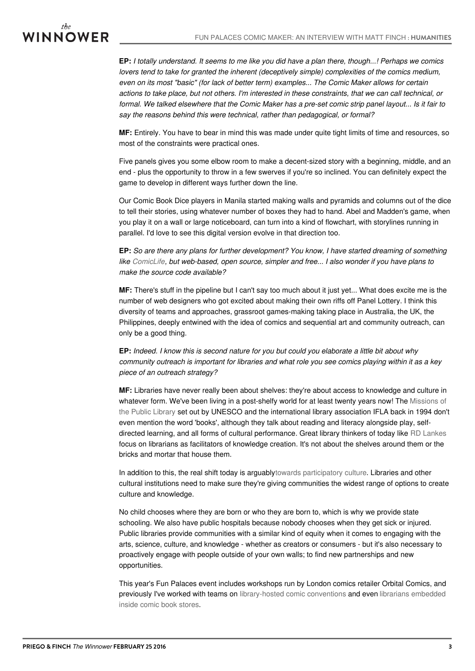# WINNOWER

EP: I totally understand. It seems to me like you did have a plan there, though...! Perhaps we comics *lovers tend to take for granted the inherent (deceptively simple) complexities of the comics medium, even on its most "basic" (for lack of better term) examples... The Comic Maker allows for certain* actions to take place, but not others. I'm interested in these constraints, that we can call technical, or formal. We talked elsewhere that the Comic Maker has a pre-set comic strip panel layout... Is it fair to *say the reasons behind this were technical, rather than pedagogical, or formal?*

**MF:** Entirely. You have to bear in mind this was made under quite tight limits of time and resources, so most of the constraints were practical ones.

Five panels gives you some elbow room to make a decent-sized story with a beginning, middle, and an end - plus the opportunity to throw in a few swerves if you're so inclined. You can definitely expect the game to develop in different ways further down the line.

Our Comic Book Dice players in Manila started making walls and pyramids and columns out of the dice to tell their stories, using whatever number of boxes they had to hand. Abel and Madden's game, when you play it on a wall or large noticeboard, can turn into a kind of flowchart, with storylines running in parallel. I'd love to see this digital version evolve in that direction too.

**EP:** *So are there any plans for further development? You know, I have started dreaming of something like [ComicLife](http://plasq.com/apps/comiclife/macwin/), but web-based, open source, simpler and free... I also wonder if you have plans to make the source code available?*

**MF:** There's stuff in the pipeline but I can't say too much about it just yet... What does excite me is the number of web designers who got excited about making their own riffs off Panel Lottery. I think this diversity of teams and approaches, grassroot games-making taking place in Australia, the UK, the Philippines, deeply entwined with the idea of comics and sequential art and community outreach, can only be a good thing.

EP: Indeed. I know this is second nature for you but could you elaborate a little bit about why community outreach is important for libraries and what role you see comics playing within it as a key *piece of an outreach strategy?*

**MF:** Libraries have never really been about shelves: they're about access to knowledge and culture in whatever form. We've been living in a post-shelfy world for at least twenty years now! The Missions of the Public Library set out by UNESCO and the [international](http://www.unesco.org/webworld/libraries/manifestos/libraman.html#2) library association IFLA back in 1994 don't even mention the word 'books', although they talk about reading and literacy alongside play, selfdirected learning, and all forms of cultural performance. Great library thinkers of today like RD [Lankes](http://quartz.syr.edu/blog/?page_id=6352) focus on librarians as facilitators of knowledge creation. It's not about the shelves around them or the bricks and mortar that house them.

In addition to this, the real shift today is arguablytowards [participatory](https://twitter.com/RaphaellaDixon/status/193378205850288130) culture. Libraries and other cultural institutions need to make sure they're giving communities the widest range of options to create culture and knowledge.

No child chooses where they are born or who they are born to, which is why we provide state schooling. We also have public hospitals because nobody chooses when they get sick or injured. Public libraries provide communities with a similar kind of equity when it comes to engaging with the arts, science, culture, and knowledge - whether as creators or consumers - but it's also necessary to proactively engage with people outside of your own walls; to find new partnerships and new opportunities.

This year's Fun Palaces event includes workshops run by London comics retailer Orbital Comics, and previously I've worked with teams on [library-hosted](https://au.prime7.yahoo.com/n3/video/-/watch/21544453/comiccon/) comic conventions and even librarians embedded inside comic book stores.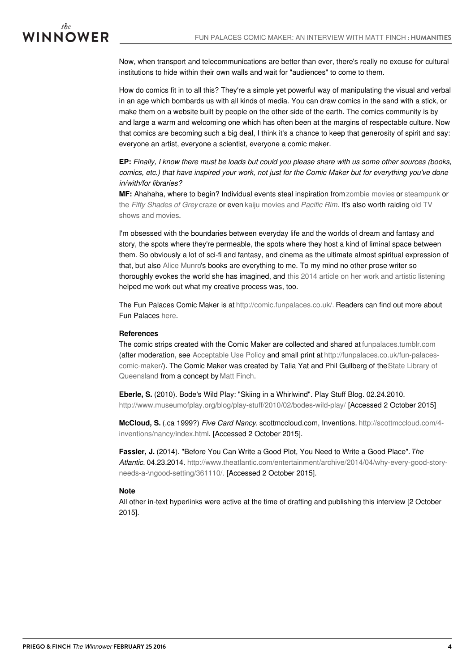## WINNOWER

Now, when transport and telecommunications are better than ever, there's really no excuse for cultural institutions to hide within their own walls and wait for "audiences" to come to them.

How do comics fit in to all this? They're a simple yet powerful way of manipulating the visual and verbal in an age which bombards us with all kinds of media. You can draw comics in the sand with a stick, or make them on a website built by people on the other side of the earth. The comics community is by and large a warm and welcoming one which has often been at the margins of respectable culture. Now that comics are becoming such a big deal, I think it's a chance to keep that generosity of spirit and say: everyone an artist, everyone a scientist, everyone a comic maker.

EP: Finally, I know there must be loads but could you please share with us some other sources (books, comics, etc.) that have inspired your work, not just for the Comic Maker but for everything you've done *in/with/for libraries?*

**MF:** Ahahaha, where to begin? Individual events steal inspiration from[zombie](http://www.abc.net.au/local/videos/2013/10/14/3868601.htm) movies or [steampunk](http://www.libraryasincubatorproject.org/?p=13121) or the *Fifty [Shades](http://matthewfinch.me/2014/10/13/always-blow-on-the-pea-hanging-out-problem-solving-and-action-adventure/) of Grey* craze or even kaiju [movies](http://www.libraryasincubatorproject.org/?p=12899) and *Pacific Rim*. It's also worth raiding old TV shows and movies.

I'm obsessed with the boundaries between everyday life and the worlds of dream and fantasy and story, the spots where they're permeable, the spots where they host a kind of liminal space between them. So obviously a lot of sci-fi and fantasy, and cinema as the ultimate almost spiritual expression of that, but also Alice [Munro](http://matthewfinch.me/2014/10/23/alice-munro-nobel-winning-ya-author-on-lives-of-girls-and-women/)'s books are everything to me. To my mind no other prose writer so thoroughly evokes the world she has imagined, and this 2014 article on her work and artistic [listening](http://www.theatlantic.com/entertainment/archive/2014/04/why-every-good-story-needs-a-good-setting/361110/) helped me work out what my creative process was, too.

The Fun Palaces Comic Maker is at [http://comic.funpalaces.co.uk/.](http://comic.funpalaces.co.uk/) Readers can find out more about Fun Palaces [here](http://funpalaces.co.uk/).

#### **References**

The comic strips created with the Comic Maker are collected and shared at [funpalaces.tumblr.com](http://funpalaces.tumblr.com/) (after moderation, see [Acceptable](http://funpalaces.co.uk/acceptable-use-policy/) Use Policy and small print at [http://funpalaces.co.uk/fun-palaces](http://funpalaces.co.uk/fun-palaces-comic-maker)[comic-maker/\).](http://www.slq.qld.gov.au/) The Comic Maker was created by Talia Yat and Phil Gullberg of theState Library of Queensland from a concept by Matt [Finch](http://www.matthewfinch.me/about).

**Eberle, S.** (2010). Bode's Wild Play: "Skiing in a Whirlwind". Play Stuff Blog. 02.24.2010. <http://www.museumofplay.org/blog/play-stuff/2010/02/bodes-wild-play/> [Accessed 2 October 2015]

**McCloud, S.** (.ca 1999?) *Five Card Nancy.* scottmccloud.com, Inventions. http://scottmccloud.com/4 [inventions/nancy/index.html.](http://scottmccloud.com/4-inventions/nancy/index.html) [Accessed 2 October 2015].

**Fassler, J.** (2014). "Before You Can Write a Good Plot, You Need to Write a Good Place".*The Atlantic.* 04.23.2014. [http://www.theatlantic.com/entertainment/archive/2014/04/why-every-good-story](http://www.theatlantic.com/entertainment/archive/2014/04/why-every-good-story-needs-a-good-setting/361110/)needs-a-\ngood-setting/361110/. [Accessed 2 October 2015].

#### **Note**

All other in-text hyperlinks were active at the time of drafting and publishing this interview [2 October 2015].